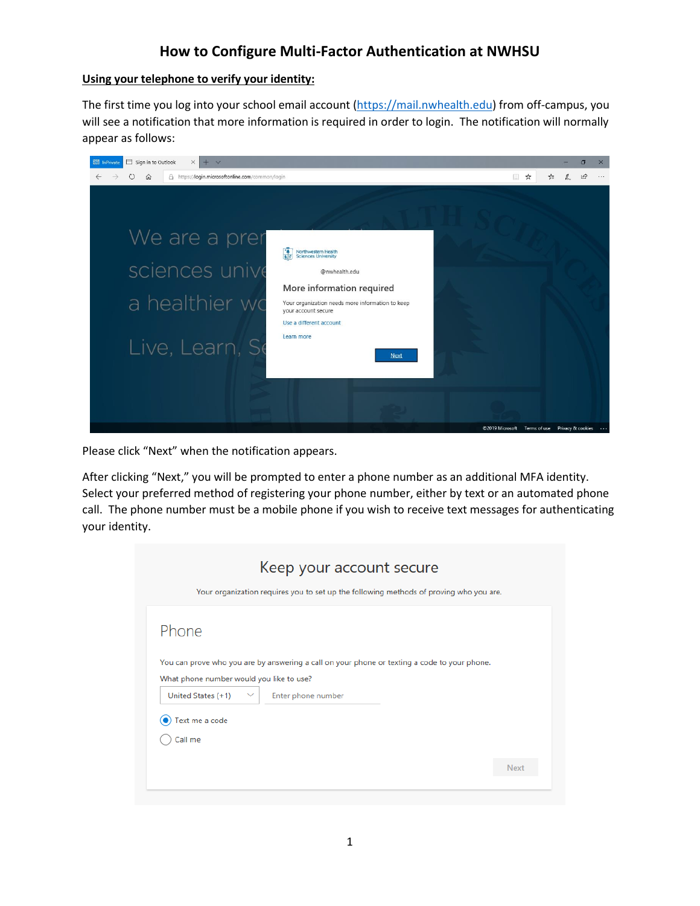# **How to Configure Multi-Factor Authentication at NWHSU**

### **Using your telephone to verify your identity:**

The first time you log into your school email account [\(https://mail.nwhealth.edu\)](https://mail.nwhealth.edu/) from off-campus, you will see a notification that more information is required in order to login. The notification will normally appear as follows:



Please click "Next" when the notification appears.

After clicking "Next," you will be prompted to enter a phone number as an additional MFA identity. Select your preferred method of registering your phone number, either by text or an automated phone call. The phone number must be a mobile phone if you wish to receive text messages for authenticating your identity.

|                                          | Keep your account secure                                                                     |  |
|------------------------------------------|----------------------------------------------------------------------------------------------|--|
|                                          | Your organization requires you to set up the following methods of proving who you are.       |  |
|                                          |                                                                                              |  |
| Phone                                    |                                                                                              |  |
|                                          |                                                                                              |  |
|                                          | You can prove who you are by answering a call on your phone or texting a code to your phone. |  |
| What phone number would you like to use? |                                                                                              |  |
| United States (+1)                       | Enter phone number<br>$\checkmark$                                                           |  |
| Text me a code                           |                                                                                              |  |
| Call me                                  |                                                                                              |  |
|                                          |                                                                                              |  |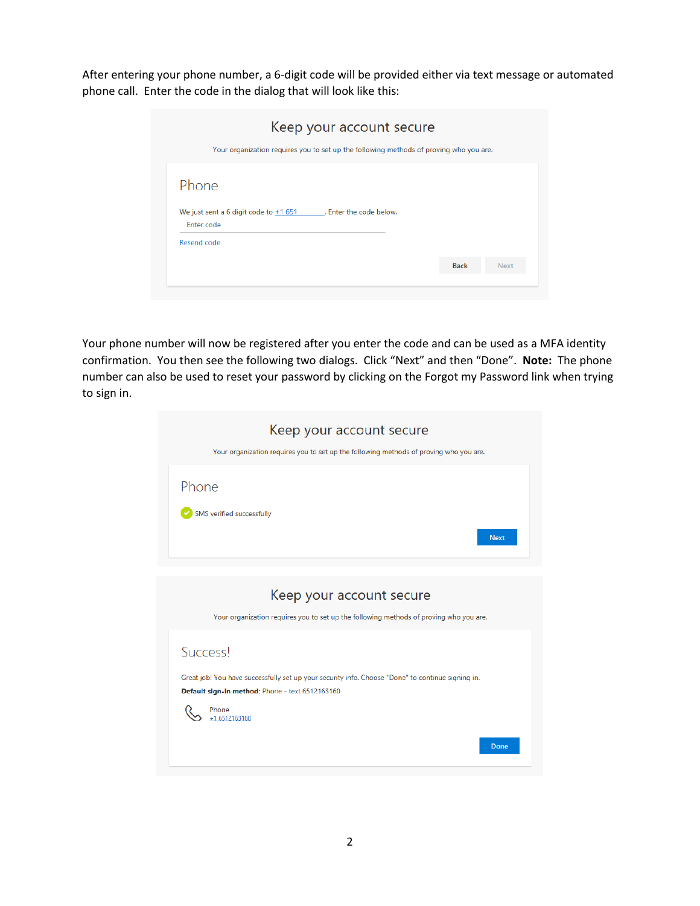After entering your phone number, a 6-digit code will be provided either via text message or automated phone call. Enter the code in the dialog that will look like this:

| Keep your account secure                                                               |             |             |
|----------------------------------------------------------------------------------------|-------------|-------------|
| Your organization requires you to set up the following methods of proving who you are. |             |             |
| Phone                                                                                  |             |             |
| We just sent a 6 digit code to $+1651$ . Enter the code below.<br>Enter code           |             |             |
| Resend code                                                                            |             |             |
|                                                                                        | <b>Back</b> | <b>Next</b> |
|                                                                                        |             |             |

Your phone number will now be registered after you enter the code and can be used as a MFA identity confirmation. You then see the following two dialogs. Click "Next" and then "Done". **Note:** The phone number can also be used to reset your password by clicking on the Forgot my Password link when trying to sign in.

| Keep your account secure                                                                          |
|---------------------------------------------------------------------------------------------------|
| Your organization requires you to set up the following methods of proving who you are.            |
| Phone                                                                                             |
|                                                                                                   |
| SMS verified successfully                                                                         |
| <b>Next</b>                                                                                       |
|                                                                                                   |
|                                                                                                   |
| Keep your account secure                                                                          |
| Your organization requires you to set up the following methods of proving who you are.            |
| <b>Success!</b>                                                                                   |
|                                                                                                   |
| Great job! You have successfully set up your security info. Choose "Done" to continue signing in. |
| Default sign-in method: Phone - text 6512163160                                                   |
| Phone<br>+1 6512163160                                                                            |
| <b>Done</b>                                                                                       |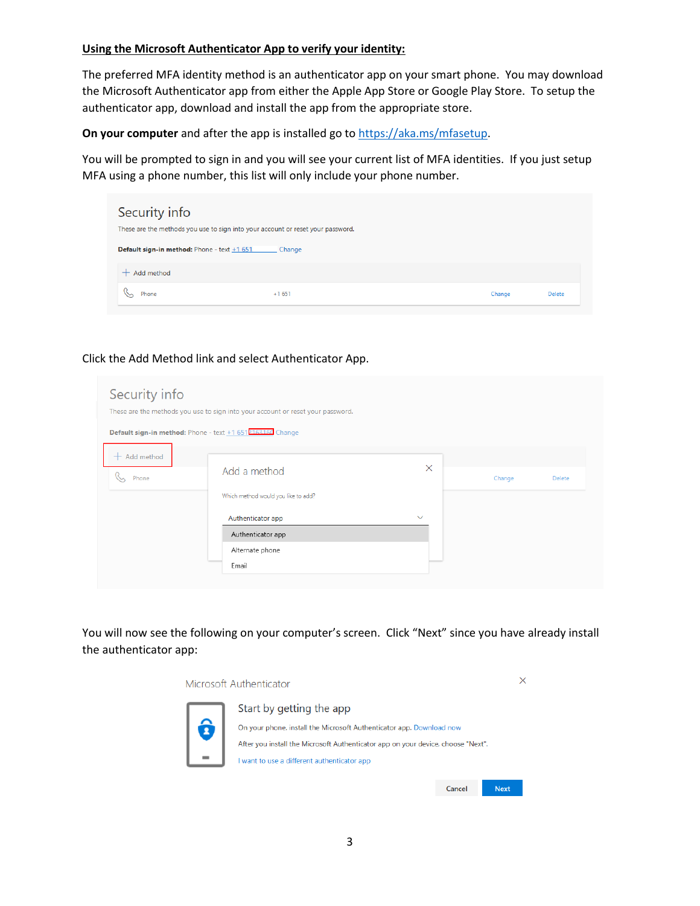#### **Using the Microsoft Authenticator App to verify your identity:**

The preferred MFA identity method is an authenticator app on your smart phone. You may download the Microsoft Authenticator app from either the Apple App Store or Google Play Store. To setup the authenticator app, download and install the app from the appropriate store.

**On your computer** and after the app is installed go t[o https://aka.ms/mfasetup.](https://aka.ms/mfasetup)

You will be prompted to sign in and you will see your current list of MFA identities. If you just setup MFA using a phone number, this list will only include your phone number.

| Security info<br>These are the methods you use to sign into your account or reset your password. |         |        |               |
|--------------------------------------------------------------------------------------------------|---------|--------|---------------|
| Default sign-in method: Phone - text +1 651                                                      | Change  |        |               |
| Add method                                                                                       |         |        |               |
| Phone                                                                                            | $+1651$ | Change | <b>Delete</b> |

# Click the Add Method link and select Authenticator App.

| Security info<br><b>Default sign-in method:</b> Phone - text $+1651$ <sup>p</sup> 163160 Change | These are the methods you use to sign into your account or reset your password. |              |        |        |
|-------------------------------------------------------------------------------------------------|---------------------------------------------------------------------------------|--------------|--------|--------|
| $+$ Add method<br>Phone                                                                         | Add a method<br>Which method would you like to add?                             | $\times$     | Change | Delete |
|                                                                                                 | Authenticator app<br>Authenticator app<br>Alternate phone<br>Email              | $\checkmark$ |        |        |

You will now see the following on your computer's screen. Click "Next" since you have already install the authenticator app:

Microsoft Authenticator



Start by getting the app On your phone, install the Microsoft Authenticator app. Download now After you install the Microsoft Authenticator app on your device, choose "Next". I want to use a different authenticator app

 $\times$ 

Next

Cancel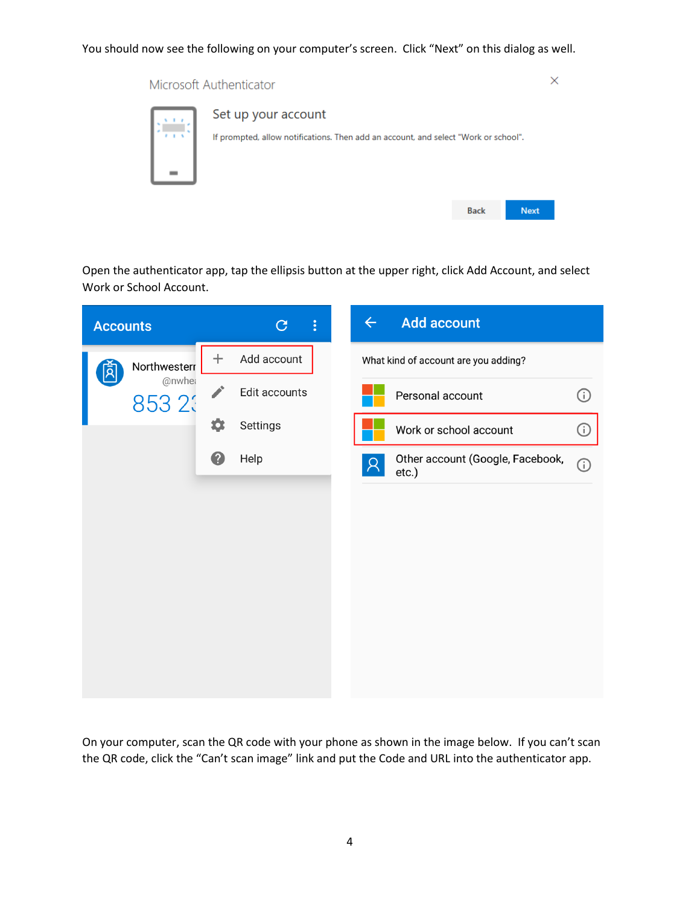# You should now see the following on your computer's screen. Click "Next" on this dialog as well.

Microsoft Authenticator

| Set up your account<br>If prompted, allow notifications. Then add an account, and select "Work or school". |             |             |
|------------------------------------------------------------------------------------------------------------|-------------|-------------|
|                                                                                                            | <b>Back</b> | <b>Next</b> |

 $\times$ 

Open the authenticator app, tap the ellipsis button at the upper right, click Add Account, and select Work or School Account.



On your computer, scan the QR code with your phone as shown in the image below. If you can't scan the QR code, click the "Can't scan image" link and put the Code and URL into the authenticator app.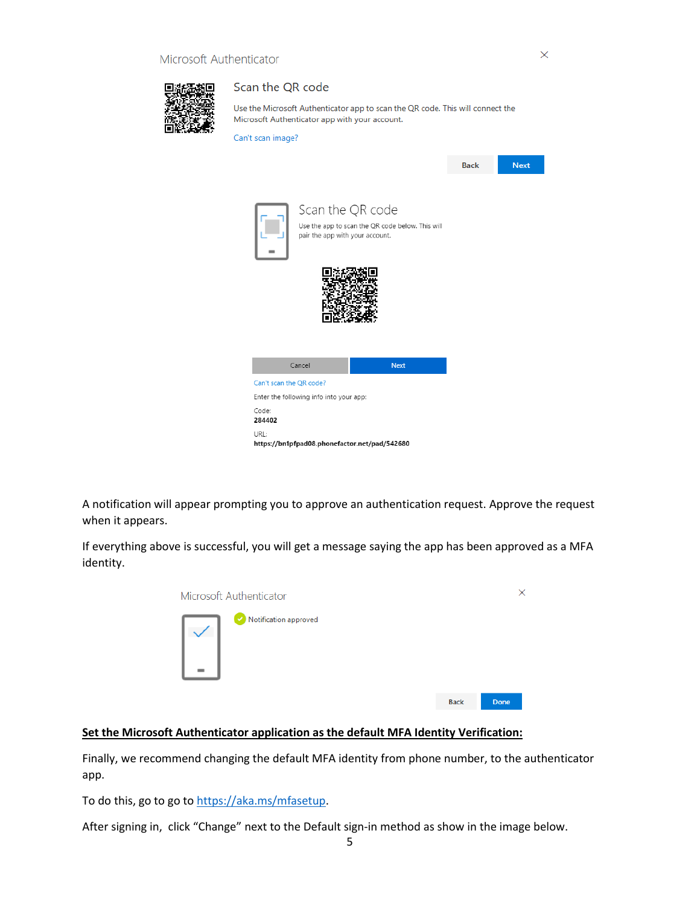

#### Scan the QR code

Use the Microsoft Authenticator app to scan the QR code. This will connect the Microsoft Authenticator app with your account.

|  | Can't scan image? |  |
|--|-------------------|--|
|  |                   |  |



A notification will appear prompting you to approve an authentication request. Approve the request when it appears.

If everything above is successful, you will get a message saying the app has been approved as a MFA identity.



# **Set the Microsoft Authenticator application as the default MFA Identity Verification:**

Finally, we recommend changing the default MFA identity from phone number, to the authenticator app.

To do this, go to go to [https://aka.ms/mfasetup.](https://aka.ms/mfasetup)

After signing in, click "Change" next to the Default sign-in method as show in the image below.